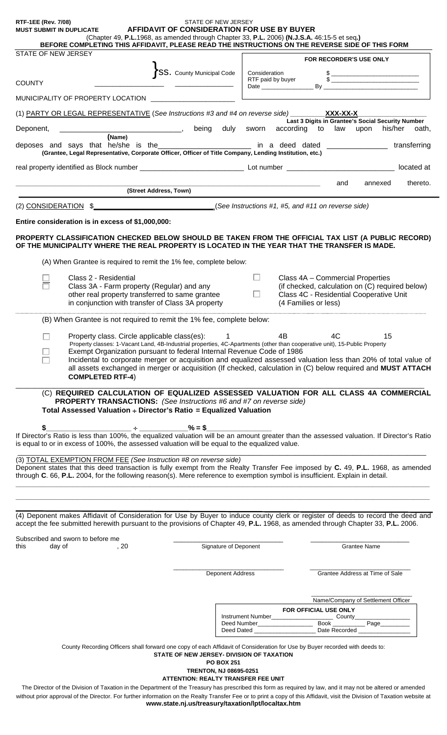| <b>RTF-1EE (Rev. 7/08)</b><br><b>MUST SUBMIT IN DUPLICATE</b><br>(Chapter 49, P.L.1968, as amended through Chapter 33, P.L. 2006) (N.J.S.A. 46:15-5 et seq.)                                                                                                                                                                                                                                                                                                                                | STATE OF NEW JERSEY<br>AFFIDAVIT OF CONSIDERATION FOR USE BY BUYER                              |                                            |                                                                 |                                                                                                                                                                                                                                                                                                                     |
|---------------------------------------------------------------------------------------------------------------------------------------------------------------------------------------------------------------------------------------------------------------------------------------------------------------------------------------------------------------------------------------------------------------------------------------------------------------------------------------------|-------------------------------------------------------------------------------------------------|--------------------------------------------|-----------------------------------------------------------------|---------------------------------------------------------------------------------------------------------------------------------------------------------------------------------------------------------------------------------------------------------------------------------------------------------------------|
| BEFORE COMPLETING THIS AFFIDAVIT, PLEASE READ THE INSTRUCTIONS ON THE REVERSE SIDE OF THIS FORM                                                                                                                                                                                                                                                                                                                                                                                             |                                                                                                 |                                            |                                                                 |                                                                                                                                                                                                                                                                                                                     |
| STATE OF NEW JERSEY                                                                                                                                                                                                                                                                                                                                                                                                                                                                         |                                                                                                 |                                            | <b>FOR RECORDER'S USE ONLY</b>                                  |                                                                                                                                                                                                                                                                                                                     |
| <b>COUNTY</b>                                                                                                                                                                                                                                                                                                                                                                                                                                                                               | 'SS. County Municipal Code                                                                      | Consideration<br>RTF paid by buyer         |                                                                 | $\frac{1}{2}$ $\frac{1}{2}$ $\frac{1}{2}$ $\frac{1}{2}$ $\frac{1}{2}$ $\frac{1}{2}$ $\frac{1}{2}$ $\frac{1}{2}$ $\frac{1}{2}$ $\frac{1}{2}$ $\frac{1}{2}$ $\frac{1}{2}$ $\frac{1}{2}$ $\frac{1}{2}$ $\frac{1}{2}$ $\frac{1}{2}$ $\frac{1}{2}$ $\frac{1}{2}$ $\frac{1}{2}$ $\frac{1}{2}$ $\frac{1}{2}$ $\frac{1}{2}$ |
|                                                                                                                                                                                                                                                                                                                                                                                                                                                                                             |                                                                                                 |                                            |                                                                 |                                                                                                                                                                                                                                                                                                                     |
| MUNICIPALITY OF PROPERTY LOCATION                                                                                                                                                                                                                                                                                                                                                                                                                                                           |                                                                                                 |                                            |                                                                 |                                                                                                                                                                                                                                                                                                                     |
| (1) PARTY OR LEGAL REPRESENTATIVE (See Instructions #3 and #4 on reverse side) XXX-XX-X                                                                                                                                                                                                                                                                                                                                                                                                     |                                                                                                 |                                            |                                                                 | Last 3 Digits in Grantee's Social Security Number                                                                                                                                                                                                                                                                   |
| Deponent,<br>(Name)                                                                                                                                                                                                                                                                                                                                                                                                                                                                         |                                                                                                 | being duly sworn according to law          |                                                                 | upon<br>his/her<br>oath,                                                                                                                                                                                                                                                                                            |
| deposes and says that he/she is the_________________________ in a deed dated _______________________<br>(Grantee, Legal Representative, Corporate Officer, Officer of Title Company, Lending Institution, etc.)                                                                                                                                                                                                                                                                             |                                                                                                 |                                            |                                                                 | transferring                                                                                                                                                                                                                                                                                                        |
|                                                                                                                                                                                                                                                                                                                                                                                                                                                                                             |                                                                                                 |                                            |                                                                 | located at                                                                                                                                                                                                                                                                                                          |
| (Street Address, Town)                                                                                                                                                                                                                                                                                                                                                                                                                                                                      |                                                                                                 |                                            | and                                                             | thereto.<br>annexed                                                                                                                                                                                                                                                                                                 |
| (See Instructions #1, #5, and #11 on reverse side)                                                                                                                                                                                                                                                                                                                                                                                                                                          |                                                                                                 |                                            |                                                                 |                                                                                                                                                                                                                                                                                                                     |
| (2) CONSIDERATION \$                                                                                                                                                                                                                                                                                                                                                                                                                                                                        |                                                                                                 |                                            |                                                                 |                                                                                                                                                                                                                                                                                                                     |
| Entire consideration is in excess of \$1,000,000:<br>PROPERTY CLASSIFICATION CHECKED BELOW SHOULD BE TAKEN FROM THE OFFICIAL TAX LIST (A PUBLIC RECORD)<br>OF THE MUNICIPALITY WHERE THE REAL PROPERTY IS LOCATED IN THE YEAR THAT THE TRANSFER IS MADE.                                                                                                                                                                                                                                    |                                                                                                 |                                            |                                                                 |                                                                                                                                                                                                                                                                                                                     |
| (A) When Grantee is required to remit the 1% fee, complete below:                                                                                                                                                                                                                                                                                                                                                                                                                           |                                                                                                 |                                            |                                                                 |                                                                                                                                                                                                                                                                                                                     |
| Class 2 - Residential                                                                                                                                                                                                                                                                                                                                                                                                                                                                       |                                                                                                 | Ш                                          | Class 4A - Commercial Properties                                |                                                                                                                                                                                                                                                                                                                     |
| Class 3A - Farm property (Regular) and any                                                                                                                                                                                                                                                                                                                                                                                                                                                  |                                                                                                 |                                            |                                                                 | (if checked, calculation on (C) required below)                                                                                                                                                                                                                                                                     |
| other real property transferred to same grantee<br>in conjunction with transfer of Class 3A property                                                                                                                                                                                                                                                                                                                                                                                        |                                                                                                 | ப                                          | Class 4C - Residential Cooperative Unit<br>(4 Families or less) |                                                                                                                                                                                                                                                                                                                     |
| (B) When Grantee is not required to remit the 1% fee, complete below:                                                                                                                                                                                                                                                                                                                                                                                                                       |                                                                                                 |                                            |                                                                 |                                                                                                                                                                                                                                                                                                                     |
| Property class. Circle applicable class(es): 1                                                                                                                                                                                                                                                                                                                                                                                                                                              |                                                                                                 | 4B                                         | 4C                                                              | 15                                                                                                                                                                                                                                                                                                                  |
| Property classes: 1-Vacant Land, 4B-Industrial properties, 4C-Apartments (other than cooperative unit), 15-Public Property<br>Exempt Organization pursuant to federal Internal Revenue Code of 1986<br>Incidental to corporate merger or acquisition and equalized assessed valuation less than 20% of total value of<br>all assets exchanged in merger or acquisition (If checked, calculation in (C) below required and MUST ATTACH<br><b>COMPLETED RTF-4)</b>                            |                                                                                                 |                                            |                                                                 |                                                                                                                                                                                                                                                                                                                     |
| (C) REQUIRED CALCULATION OF EQUALIZED ASSESSED VALUATION FOR ALL CLASS 4A COMMERCIAL<br><b>PROPERTY TRANSACTIONS:</b> (See Instructions #6 and #7 on reverse side)<br>Total Assessed Valuation ÷ Director's Ratio = Equalized Valuation<br>S<br>If Director's Ratio is less than 100%, the equalized valuation will be an amount greater than the assessed valuation. If Director's Ratio<br>is equal to or in excess of 100%, the assessed valuation will be equal to the equalized value. |                                                                                                 |                                            |                                                                 |                                                                                                                                                                                                                                                                                                                     |
| (3) TOTAL EXEMPTION FROM FEE (See Instruction #8 on reverse side)<br>Deponent states that this deed transaction is fully exempt from the Realty Transfer Fee imposed by C. 49, P.L. 1968, as amended<br>through C. 66, P.L. 2004, for the following reason(s). Mere reference to exemption symbol is insufficient. Explain in detail.                                                                                                                                                       |                                                                                                 |                                            |                                                                 |                                                                                                                                                                                                                                                                                                                     |
| (4) Deponent makes Affidavit of Consideration for Use by Buyer to induce county clerk or register of deeds to record the deed and<br>accept the fee submitted herewith pursuant to the provisions of Chapter 49, P.L. 1968, as amended through Chapter 33, P.L. 2006.                                                                                                                                                                                                                       |                                                                                                 |                                            |                                                                 |                                                                                                                                                                                                                                                                                                                     |
| Subscribed and sworn to before me<br>day of<br>this<br>, 20                                                                                                                                                                                                                                                                                                                                                                                                                                 | Signature of Deponent                                                                           |                                            |                                                                 | <b>Grantee Name</b>                                                                                                                                                                                                                                                                                                 |
|                                                                                                                                                                                                                                                                                                                                                                                                                                                                                             | Deponent Address                                                                                |                                            |                                                                 | Grantee Address at Time of Sale                                                                                                                                                                                                                                                                                     |
|                                                                                                                                                                                                                                                                                                                                                                                                                                                                                             |                                                                                                 |                                            |                                                                 |                                                                                                                                                                                                                                                                                                                     |
|                                                                                                                                                                                                                                                                                                                                                                                                                                                                                             |                                                                                                 |                                            | FOR OFFICIAL USE ONLY                                           | Name/Company of Settlement Officer                                                                                                                                                                                                                                                                                  |
|                                                                                                                                                                                                                                                                                                                                                                                                                                                                                             |                                                                                                 | Deed Number Book Page                      |                                                                 |                                                                                                                                                                                                                                                                                                                     |
|                                                                                                                                                                                                                                                                                                                                                                                                                                                                                             |                                                                                                 | Deed Dated <b>Deed Dated</b> Date Recorded |                                                                 |                                                                                                                                                                                                                                                                                                                     |
| County Recording Officers shall forward one copy of each Affidavit of Consideration for Use by Buyer recorded with deeds to:                                                                                                                                                                                                                                                                                                                                                                | STATE OF NEW JERSEY- DIVISION OF TAXATION<br><b>PO BOX 251</b><br><b>TRENTON, NJ 08695-0251</b> |                                            |                                                                 |                                                                                                                                                                                                                                                                                                                     |
| The Director of the Division of Taxation in the Department of the Treasury has prescribed this form as required by law, and it may not be altered or amended<br>without prior approval of the Director. For further information on the Realty Transfer Fee or to print a copy of this Affidavit, visit the Division of Taxation website at                                                                                                                                                  | ATTENTION: REALTY TRANSFER FEE UNIT                                                             |                                            |                                                                 |                                                                                                                                                                                                                                                                                                                     |
|                                                                                                                                                                                                                                                                                                                                                                                                                                                                                             | www.state.nj.us/treasury/taxation/lpt/localtax.htm                                              |                                            |                                                                 |                                                                                                                                                                                                                                                                                                                     |